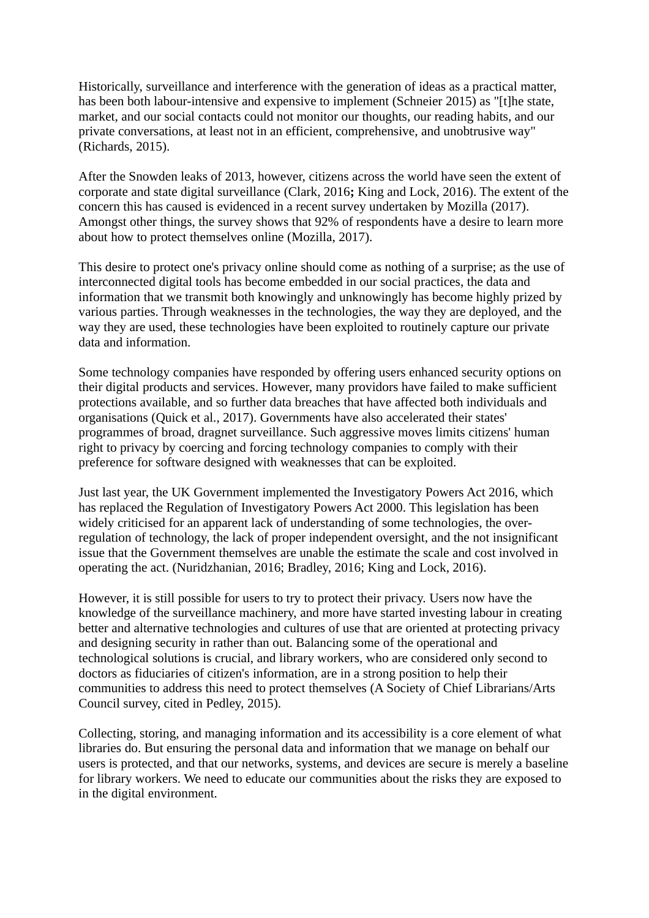Historically, surveillance and interference with the generation of ideas as a practical matter, has been both labour-intensive and expensive to implement (Schneier 2015) as "[t]he state, market, and our social contacts could not monitor our thoughts, our reading habits, and our private conversations, at least not in an efficient, comprehensive, and unobtrusive way" (Richards, 2015).

After the Snowden leaks of 2013, however, citizens across the world have seen the extent of corporate and state digital surveillance (Clark, 2016**;** King and Lock, 2016). The extent of the concern this has caused is evidenced in a recent survey undertaken by Mozilla (2017). Amongst other things, the survey shows that 92% of respondents have a desire to learn more about how to protect themselves online (Mozilla, 2017).

This desire to protect one's privacy online should come as nothing of a surprise; as the use of interconnected digital tools has become embedded in our social practices, the data and information that we transmit both knowingly and unknowingly has become highly prized by various parties. Through weaknesses in the technologies, the way they are deployed, and the way they are used, these technologies have been exploited to routinely capture our private data and information.

Some technology companies have responded by offering users enhanced security options on their digital products and services. However, many providors have failed to make sufficient protections available, and so further data breaches that have affected both individuals and organisations (Quick et al., 2017). Governments have also accelerated their states' programmes of broad, dragnet surveillance. Such aggressive moves limits citizens' human right to privacy by coercing and forcing technology companies to comply with their preference for software designed with weaknesses that can be exploited.

Just last year, the UK Government implemented the Investigatory Powers Act 2016, which has replaced the Regulation of Investigatory Powers Act 2000. This legislation has been widely criticised for an apparent lack of understanding of some technologies, the overregulation of technology, the lack of proper independent oversight, and the not insignificant issue that the Government themselves are unable the estimate the scale and cost involved in operating the act. (Nuridzhanian, 2016; Bradley, 2016; King and Lock, 2016).

However, it is still possible for users to try to protect their privacy. Users now have the knowledge of the surveillance machinery, and more have started investing labour in creating better and alternative technologies and cultures of use that are oriented at protecting privacy and designing security in rather than out. Balancing some of the operational and technological solutions is crucial, and library workers, who are considered only second to doctors as fiduciaries of citizen's information, are in a strong position to help their communities to address this need to protect themselves (A Society of Chief Librarians/Arts Council survey, cited in Pedley, 2015).

Collecting, storing, and managing information and its accessibility is a core element of what libraries do. But ensuring the personal data and information that we manage on behalf our users is protected, and that our networks, systems, and devices are secure is merely a baseline for library workers. We need to educate our communities about the risks they are exposed to in the digital environment.